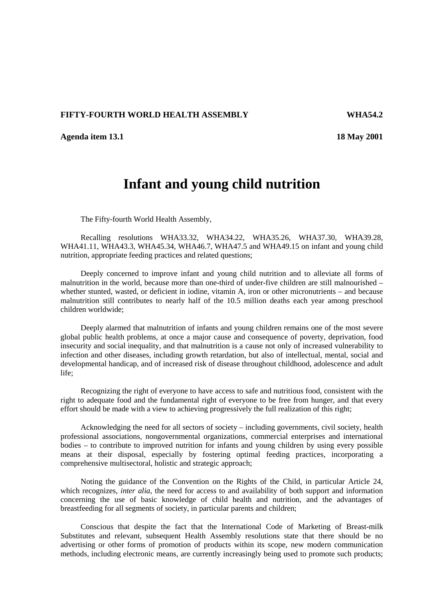## **FIFTY-FOURTH WORLD HEALTH ASSEMBLY WHA54.2**

**Agenda item 13.1 18 May 2001**

## **Infant and young child nutrition**

The Fifty-fourth World Health Assembly,

Recalling resolutions WHA33.32, WHA34.22, WHA35.26, WHA37.30, WHA39.28, WHA41.11, WHA43.3, WHA45.34, WHA46.7, WHA47.5 and WHA49.15 on infant and young child nutrition, appropriate feeding practices and related questions;

Deeply concerned to improve infant and young child nutrition and to alleviate all forms of malnutrition in the world, because more than one-third of under-five children are still malnourished – whether stunted, wasted, or deficient in iodine, vitamin A, iron or other micronutrients – and because malnutrition still contributes to nearly half of the 10.5 million deaths each year among preschool children worldwide;

Deeply alarmed that malnutrition of infants and young children remains one of the most severe global public health problems, at once a major cause and consequence of poverty, deprivation, food insecurity and social inequality, and that malnutrition is a cause not only of increased vulnerability to infection and other diseases, including growth retardation, but also of intellectual, mental, social and developmental handicap, and of increased risk of disease throughout childhood, adolescence and adult life;

Recognizing the right of everyone to have access to safe and nutritious food, consistent with the right to adequate food and the fundamental right of everyone to be free from hunger, and that every effort should be made with a view to achieving progressively the full realization of this right;

Acknowledging the need for all sectors of society – including governments, civil society, health professional associations, nongovernmental organizations, commercial enterprises and international bodies – to contribute to improved nutrition for infants and young children by using every possible means at their disposal, especially by fostering optimal feeding practices, incorporating a comprehensive multisectoral, holistic and strategic approach;

Noting the guidance of the Convention on the Rights of the Child, in particular Article 24, which recognizes, *inter alia*, the need for access to and availability of both support and information concerning the use of basic knowledge of child health and nutrition, and the advantages of breastfeeding for all segments of society, in particular parents and children;

Conscious that despite the fact that the International Code of Marketing of Breast-milk Substitutes and relevant, subsequent Health Assembly resolutions state that there should be no advertising or other forms of promotion of products within its scope, new modern communication methods, including electronic means, are currently increasingly being used to promote such products;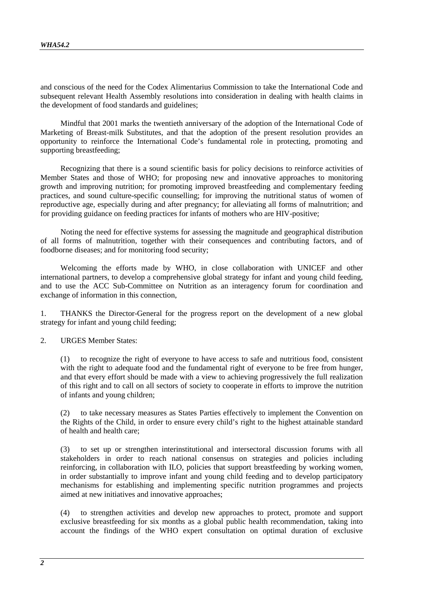and conscious of the need for the Codex Alimentarius Commission to take the International Code and subsequent relevant Health Assembly resolutions into consideration in dealing with health claims in the development of food standards and guidelines;

Mindful that 2001 marks the twentieth anniversary of the adoption of the International Code of Marketing of Breast-milk Substitutes, and that the adoption of the present resolution provides an opportunity to reinforce the International Code's fundamental role in protecting, promoting and supporting breastfeeding;

Recognizing that there is a sound scientific basis for policy decisions to reinforce activities of Member States and those of WHO; for proposing new and innovative approaches to monitoring growth and improving nutrition; for promoting improved breastfeeding and complementary feeding practices, and sound culture-specific counselling; for improving the nutritional status of women of reproductive age, especially during and after pregnancy; for alleviating all forms of malnutrition; and for providing guidance on feeding practices for infants of mothers who are HIV-positive;

Noting the need for effective systems for assessing the magnitude and geographical distribution of all forms of malnutrition, together with their consequences and contributing factors, and of foodborne diseases; and for monitoring food security;

Welcoming the efforts made by WHO, in close collaboration with UNICEF and other international partners, to develop a comprehensive global strategy for infant and young child feeding, and to use the ACC Sub-Committee on Nutrition as an interagency forum for coordination and exchange of information in this connection,

1. THANKS the Director-General for the progress report on the development of a new global strategy for infant and young child feeding;

2. URGES Member States:

(1) to recognize the right of everyone to have access to safe and nutritious food, consistent with the right to adequate food and the fundamental right of everyone to be free from hunger, and that every effort should be made with a view to achieving progressively the full realization of this right and to call on all sectors of society to cooperate in efforts to improve the nutrition of infants and young children;

(2) to take necessary measures as States Parties effectively to implement the Convention on the Rights of the Child, in order to ensure every child's right to the highest attainable standard of health and health care;

(3) to set up or strengthen interinstitutional and intersectoral discussion forums with all stakeholders in order to reach national consensus on strategies and policies including reinforcing, in collaboration with ILO, policies that support breastfeeding by working women, in order substantially to improve infant and young child feeding and to develop participatory mechanisms for establishing and implementing specific nutrition programmes and projects aimed at new initiatives and innovative approaches;

(4) to strengthen activities and develop new approaches to protect, promote and support exclusive breastfeeding for six months as a global public health recommendation, taking into account the findings of the WHO expert consultation on optimal duration of exclusive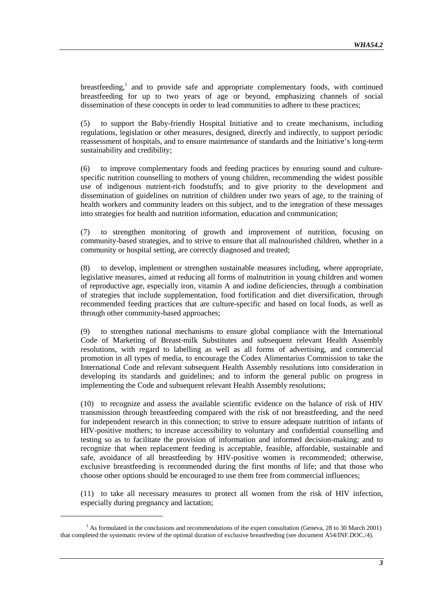breastfeeding,<sup>1</sup> and to provide safe and appropriate complementary foods, with continued breastfeeding for up to two years of age or beyond, emphasizing channels of social dissemination of these concepts in order to lead communities to adhere to these practices;

(5) to support the Baby-friendly Hospital Initiative and to create mechanisms, including regulations, legislation or other measures, designed, directly and indirectly, to support periodic reassessment of hospitals, and to ensure maintenance of standards and the Initiative's long-term sustainability and credibility;

(6) to improve complementary foods and feeding practices by ensuring sound and culturespecific nutrition counselling to mothers of young children, recommending the widest possible use of indigenous nutrient-rich foodstuffs; and to give priority to the development and dissemination of guidelines on nutrition of children under two years of age, to the training of health workers and community leaders on this subject, and to the integration of these messages into strategies for health and nutrition information, education and communication;

(7) to strengthen monitoring of growth and improvement of nutrition, focusing on community-based strategies, and to strive to ensure that all malnourished children, whether in a community or hospital setting, are correctly diagnosed and treated;

(8) to develop, implement or strengthen sustainable measures including, where appropriate, legislative measures, aimed at reducing all forms of malnutrition in young children and women of reproductive age, especially iron, vitamin A and iodine deficiencies, through a combination of strategies that include supplementation, food fortification and diet diversification, through recommended feeding practices that are culture-specific and based on local foods, as well as through other community-based approaches;

(9) to strengthen national mechanisms to ensure global compliance with the International Code of Marketing of Breast-milk Substitutes and subsequent relevant Health Assembly resolutions, with regard to labelling as well as all forms of advertising, and commercial promotion in all types of media, to encourage the Codex Alimentarius Commission to take the International Code and relevant subsequent Health Assembly resolutions into consideration in developing its standards and guidelines; and to inform the general public on progress in implementing the Code and subsequent relevant Health Assembly resolutions;

(10) to recognize and assess the available scientific evidence on the balance of risk of HIV transmission through breastfeeding compared with the risk of not breastfeeding, and the need for independent research in this connection; to strive to ensure adequate nutrition of infants of HIV-positive mothers; to increase accessibility to voluntary and confidential counselling and testing so as to facilitate the provision of information and informed decision-making; and to recognize that when replacement feeding is acceptable, feasible, affordable, sustainable and safe, avoidance of all breastfeeding by HIV-positive women is recommended; otherwise, exclusive breastfeeding is recommended during the first months of life; and that those who choose other options should be encouraged to use them free from commercial influences;

(11) to take all necessary measures to protect all women from the risk of HIV infection, especially during pregnancy and lactation;

 $\overline{a}$ 

<sup>&</sup>lt;sup>1</sup> As formulated in the conclusions and recommendations of the expert consultation (Geneva, 28 to 30 March 2001) that completed the systematic review of the optimal duration of exclusive breastfeeding (see document A54/INF.DOC./4).